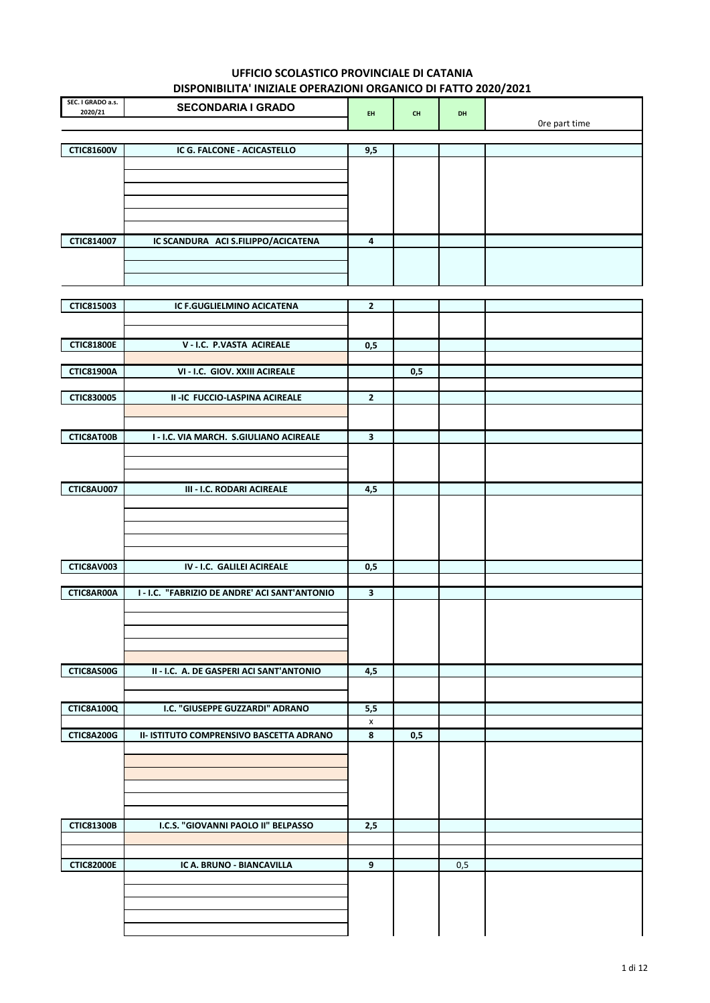| SEC. I GRADO a.s.<br>2020/21 | <b>SECONDARIA I GRADO</b>                     | EH.            | $\mathsf{CH}%$ | DH  |               |
|------------------------------|-----------------------------------------------|----------------|----------------|-----|---------------|
|                              |                                               |                |                |     | Ore part time |
|                              |                                               |                |                |     |               |
| <b>CTIC81600V</b>            | IC G. FALCONE - ACICASTELLO                   | 9,5            |                |     |               |
|                              |                                               |                |                |     |               |
|                              |                                               |                |                |     |               |
|                              |                                               |                |                |     |               |
|                              |                                               |                |                |     |               |
| CTIC814007                   | IC SCANDURA ACI S.FILIPPO/ACICATENA           | 4              |                |     |               |
|                              |                                               |                |                |     |               |
|                              |                                               |                |                |     |               |
|                              |                                               |                |                |     |               |
| CTIC815003                   | IC F.GUGLIELMINO ACICATENA                    | $\overline{2}$ |                |     |               |
|                              |                                               |                |                |     |               |
|                              |                                               |                |                |     |               |
| <b>CTIC81800E</b>            | V - I.C. P.VASTA ACIREALE                     | 0,5            |                |     |               |
|                              |                                               |                |                |     |               |
| <b>CTIC81900A</b>            | VI - I.C. GIOV. XXIII ACIREALE                |                | 0,5            |     |               |
| <b>CTIC830005</b>            | II-IC FUCCIO-LASPINA ACIREALE                 | $\overline{2}$ |                |     |               |
|                              |                                               |                |                |     |               |
|                              |                                               |                |                |     |               |
| CTIC8AT00B                   | I - I.C. VIA MARCH. S.GIULIANO ACIREALE       | 3              |                |     |               |
|                              |                                               |                |                |     |               |
|                              |                                               |                |                |     |               |
| <b>CTIC8AU007</b>            | <b>III - I.C. RODARI ACIREALE</b>             | 4,5            |                |     |               |
|                              |                                               |                |                |     |               |
|                              |                                               |                |                |     |               |
|                              |                                               |                |                |     |               |
|                              |                                               |                |                |     |               |
| CTIC8AV003                   | IV - I.C. GALILEI ACIREALE                    | 0,5            |                |     |               |
|                              |                                               |                |                |     |               |
| CTIC8AR00A                   | I - I.C. "FABRIZIO DE ANDRE' ACI SANT'ANTONIO | 3              |                |     |               |
|                              |                                               |                |                |     |               |
|                              |                                               |                |                |     |               |
|                              |                                               |                |                |     |               |
|                              |                                               |                |                |     |               |
| CTIC8AS00G                   | II - I.C. A. DE GASPERI ACI SANT'ANTONIO      | 4,5            |                |     |               |
|                              |                                               |                |                |     |               |
| <b>CTIC8A100Q</b>            | I.C. "GIUSEPPE GUZZARDI" ADRANO               | 5,5            |                |     |               |
|                              |                                               | X              |                |     |               |
| <b>CTIC8A200G</b>            | II- ISTITUTO COMPRENSIVO BASCETTA ADRANO      | 8              | 0,5            |     |               |
|                              |                                               |                |                |     |               |
|                              |                                               |                |                |     |               |
|                              |                                               |                |                |     |               |
|                              |                                               |                |                |     |               |
| <b>CTIC81300B</b>            | I.C.S. "GIOVANNI PAOLO II" BELPASSO           | 2,5            |                |     |               |
|                              |                                               |                |                |     |               |
|                              |                                               |                |                |     |               |
| <b>CTIC82000E</b>            | IC A. BRUNO - BIANCAVILLA                     | 9              |                | 0,5 |               |
|                              |                                               |                |                |     |               |
|                              |                                               |                |                |     |               |
|                              |                                               |                |                |     |               |
|                              |                                               |                |                |     |               |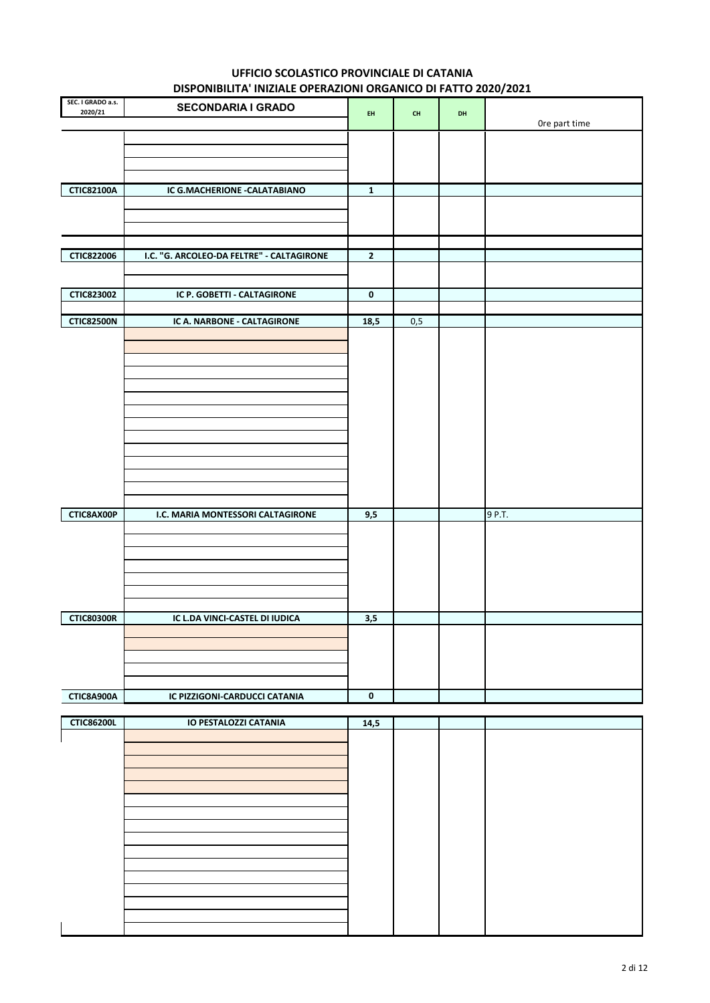| SEC. I GRADO a.s.<br>2020/21    | <b>SECONDARIA I GRADO</b>                                        | EH.            | CH  | DH | Ore part time |
|---------------------------------|------------------------------------------------------------------|----------------|-----|----|---------------|
|                                 |                                                                  |                |     |    |               |
| <b>CTIC82100A</b>               | IC G.MACHERIONE - CALATABIANO                                    | $\mathbf 1$    |     |    |               |
|                                 |                                                                  |                |     |    |               |
| <b>CTIC822006</b>               | I.C. "G. ARCOLEO-DA FELTRE" - CALTAGIRONE                        | $\overline{2}$ |     |    |               |
| <b>CTIC823002</b>               | IC P. GOBETTI - CALTAGIRONE                                      | $\mathbf 0$    |     |    |               |
| <b>CTIC82500N</b><br>CTIC8AX00P | IC A. NARBONE - CALTAGIRONE<br>I.C. MARIA MONTESSORI CALTAGIRONE | 18,5<br>9,5    | 0,5 |    | 9 P.T.        |
| <b>CTIC80300R</b>               | IC L.DA VINCI-CASTEL DI IUDICA                                   | 3,5            |     |    |               |
| CTIC8A900A                      | IC PIZZIGONI-CARDUCCI CATANIA                                    | $\mathbf 0$    |     |    |               |
| <b>CTIC86200L</b>               | <b>IO PESTALOZZI CATANIA</b>                                     | 14,5           |     |    |               |
|                                 |                                                                  |                |     |    |               |

| <b>CTIC86200L</b> | IO PESTALOZZI CATANIA | 14,5 |  |  |
|-------------------|-----------------------|------|--|--|
|                   |                       |      |  |  |
|                   |                       |      |  |  |
|                   |                       |      |  |  |
|                   |                       |      |  |  |
|                   |                       |      |  |  |
|                   |                       |      |  |  |
|                   |                       |      |  |  |
|                   |                       |      |  |  |
|                   |                       |      |  |  |
|                   |                       |      |  |  |
|                   |                       |      |  |  |
|                   |                       |      |  |  |
|                   |                       |      |  |  |
|                   |                       |      |  |  |
|                   |                       |      |  |  |
|                   |                       |      |  |  |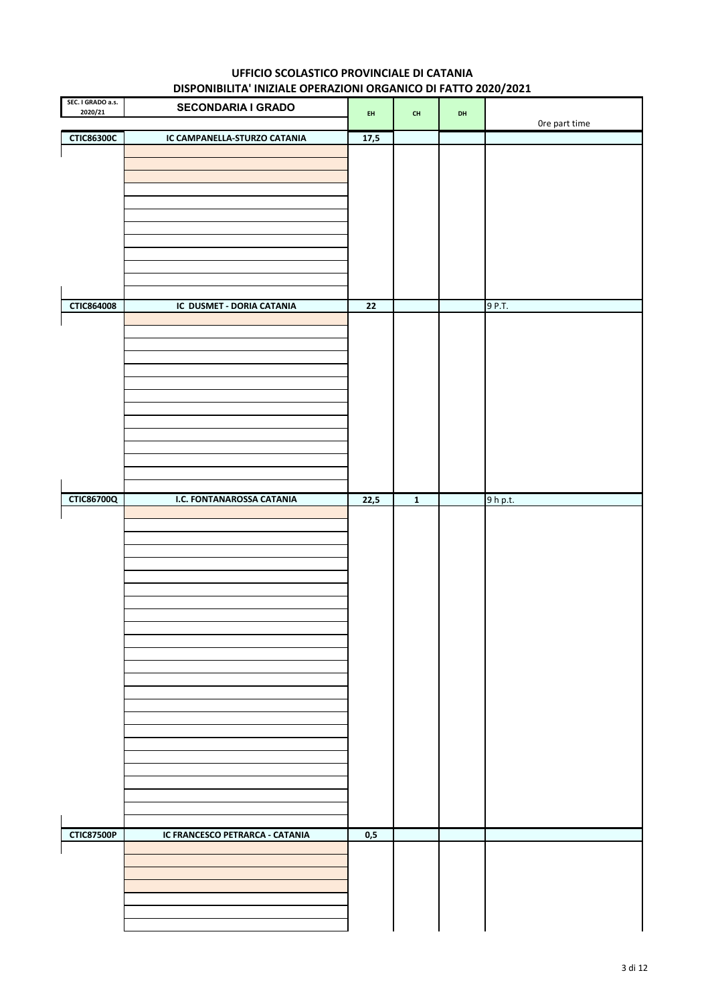| SEC. I GRADO a.s.<br>2020/21 | <b>SECONDARIA I GRADO</b>       | EH              | $\mathsf{CH}% \left( \mathcal{M}\right)$ | DH |               |
|------------------------------|---------------------------------|-----------------|------------------------------------------|----|---------------|
|                              |                                 |                 |                                          |    | Ore part time |
| <b>CTIC86300C</b>            | IC CAMPANELLA-STURZO CATANIA    | 17,5            |                                          |    |               |
|                              |                                 |                 |                                          |    |               |
|                              |                                 |                 |                                          |    |               |
|                              |                                 |                 |                                          |    |               |
|                              |                                 |                 |                                          |    |               |
|                              |                                 |                 |                                          |    |               |
|                              |                                 |                 |                                          |    |               |
|                              |                                 |                 |                                          |    |               |
|                              |                                 |                 |                                          |    |               |
|                              |                                 |                 |                                          |    |               |
| <b>CTIC864008</b>            | IC DUSMET - DORIA CATANIA       | $\overline{22}$ |                                          |    | 9 P.T.        |
|                              |                                 |                 |                                          |    |               |
|                              |                                 |                 |                                          |    |               |
|                              |                                 |                 |                                          |    |               |
|                              |                                 |                 |                                          |    |               |
|                              |                                 |                 |                                          |    |               |
|                              |                                 |                 |                                          |    |               |
|                              |                                 |                 |                                          |    |               |
|                              |                                 |                 |                                          |    |               |
|                              |                                 |                 |                                          |    |               |
|                              |                                 |                 |                                          |    |               |
|                              |                                 |                 |                                          |    |               |
| <b>CTIC86700Q</b>            | I.C. FONTANAROSSA CATANIA       | 22,5            | $\mathbf 1$                              |    | $9h$ p.t.     |
|                              |                                 |                 |                                          |    |               |
|                              |                                 |                 |                                          |    |               |
|                              |                                 |                 |                                          |    |               |
|                              |                                 |                 |                                          |    |               |
|                              |                                 |                 |                                          |    |               |
|                              |                                 |                 |                                          |    |               |
|                              |                                 |                 |                                          |    |               |
|                              |                                 |                 |                                          |    |               |
|                              |                                 |                 |                                          |    |               |
|                              |                                 |                 |                                          |    |               |
|                              |                                 |                 |                                          |    |               |
|                              |                                 |                 |                                          |    |               |
|                              |                                 |                 |                                          |    |               |
|                              |                                 |                 |                                          |    |               |
|                              |                                 |                 |                                          |    |               |
|                              |                                 |                 |                                          |    |               |
|                              |                                 |                 |                                          |    |               |
|                              |                                 |                 |                                          |    |               |
|                              |                                 |                 |                                          |    |               |
| <b>CTIC87500P</b>            | IC FRANCESCO PETRARCA - CATANIA | 0,5             |                                          |    |               |
|                              |                                 |                 |                                          |    |               |
|                              |                                 |                 |                                          |    |               |
|                              |                                 |                 |                                          |    |               |
|                              |                                 |                 |                                          |    |               |
|                              |                                 |                 |                                          |    |               |
|                              |                                 |                 |                                          |    |               |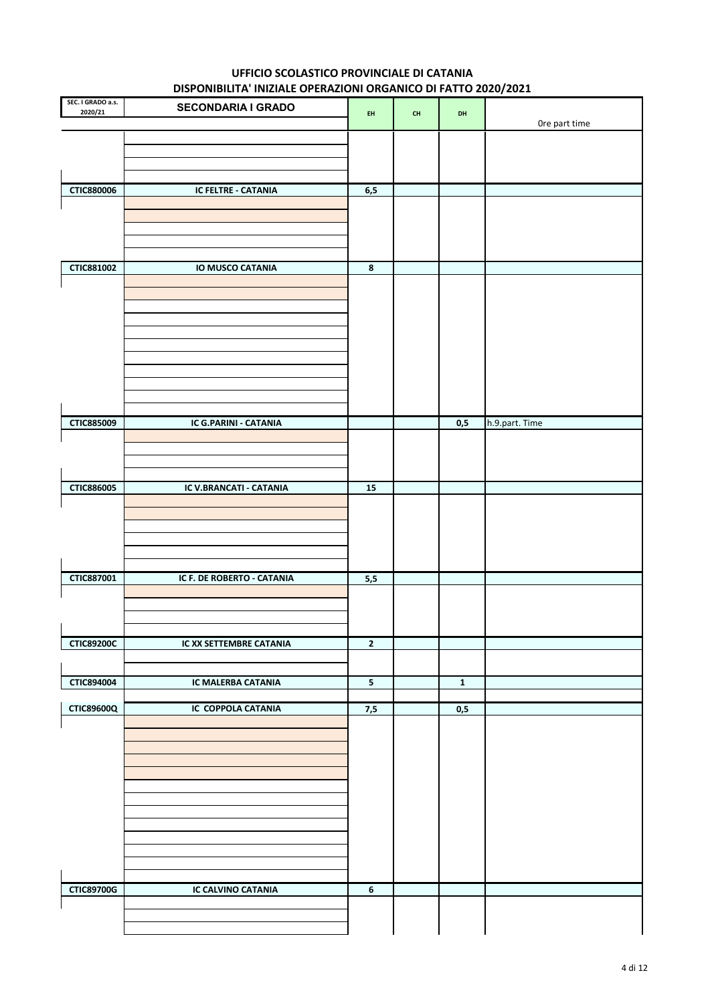| SEC. I GRADO a.s.<br>2020/21 | <b>SECONDARIA I GRADO</b>  | EH               | $\mathsf{CH}%$ | DH           |                |
|------------------------------|----------------------------|------------------|----------------|--------------|----------------|
|                              |                            |                  |                |              | Ore part time  |
|                              |                            |                  |                |              |                |
|                              |                            |                  |                |              |                |
| <b>CTIC880006</b>            | IC FELTRE - CATANIA        | 6,5              |                |              |                |
|                              |                            |                  |                |              |                |
|                              |                            |                  |                |              |                |
| <b>CTIC881002</b>            | IO MUSCO CATANIA           | 8                |                |              |                |
|                              |                            |                  |                |              |                |
|                              |                            |                  |                |              |                |
|                              |                            |                  |                |              |                |
|                              |                            |                  |                |              |                |
|                              |                            |                  |                |              |                |
|                              |                            |                  |                |              |                |
| <b>CTIC885009</b>            | IC G.PARINI - CATANIA      |                  |                | 0,5          | h.9.part. Time |
|                              |                            |                  |                |              |                |
|                              |                            |                  |                |              |                |
| <b>CTIC886005</b>            | IC V.BRANCATI - CATANIA    | 15               |                |              |                |
|                              |                            |                  |                |              |                |
|                              |                            |                  |                |              |                |
|                              |                            |                  |                |              |                |
| CTIC887001                   | IC F. DE ROBERTO - CATANIA | 5,5              |                |              |                |
|                              |                            |                  |                |              |                |
|                              |                            |                  |                |              |                |
| <b>CTIC89200C</b>            | IC XX SETTEMBRE CATANIA    | $\mathbf 2$      |                |              |                |
|                              |                            |                  |                |              |                |
| CTIC894004                   | IC MALERBA CATANIA         | ${\bf 5}$        |                | $\mathbf{1}$ |                |
| <b>CTIC89600Q</b>            | IC COPPOLA CATANIA         | 7,5              |                | 0,5          |                |
|                              |                            |                  |                |              |                |
|                              |                            |                  |                |              |                |
|                              |                            |                  |                |              |                |
|                              |                            |                  |                |              |                |
|                              |                            |                  |                |              |                |
|                              |                            |                  |                |              |                |
|                              |                            |                  |                |              |                |
| <b>CTIC89700G</b>            | IC CALVINO CATANIA         | $\boldsymbol{6}$ |                |              |                |
|                              |                            |                  |                |              |                |
|                              |                            |                  |                |              |                |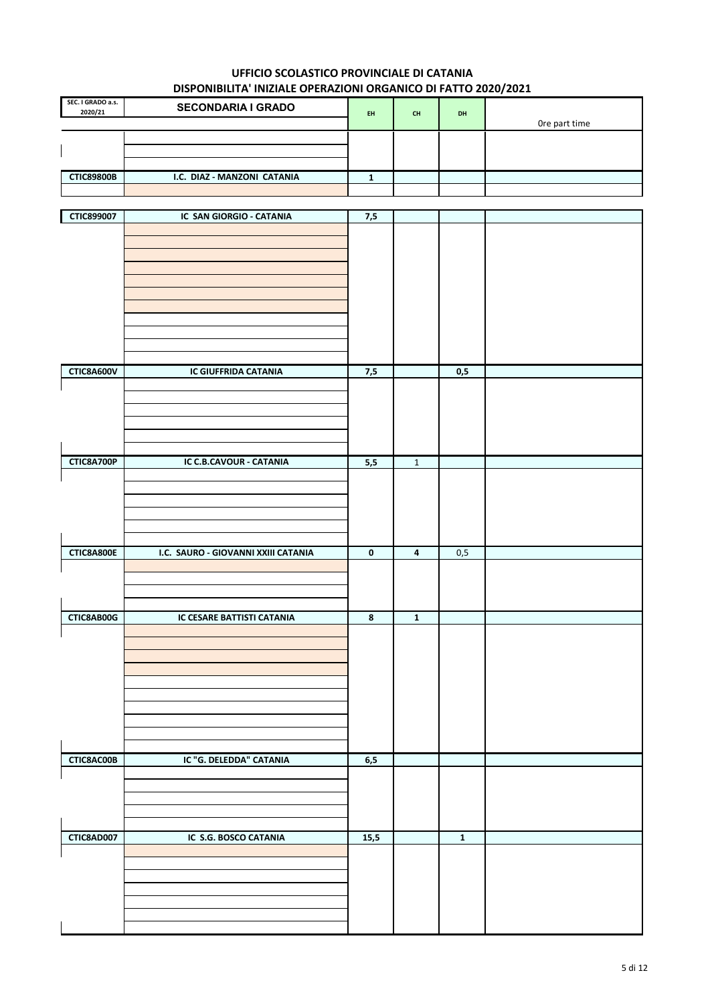|                              | <b>DISTORTED IN BREADLE OF ERACIONI ORIGINICO DI TATTO EVEV/ EVEL</b> |     |           |           |               |  |  |
|------------------------------|-----------------------------------------------------------------------|-----|-----------|-----------|---------------|--|--|
| SEC. I GRADO a.s.<br>2020/21 | <b>SECONDARIA I GRADO</b>                                             | EH. | <b>CH</b> | <b>DH</b> | Ore part time |  |  |
|                              |                                                                       |     |           |           |               |  |  |
| <b>CTIC89800B</b>            | I.C. DIAZ - MANZONI CATANIA                                           |     |           |           |               |  |  |
|                              |                                                                       |     |           |           |               |  |  |

| <b>CTIC899007</b> | IC SAN GIORGIO - CATANIA            | $7,5$                   |                         |             |  |
|-------------------|-------------------------------------|-------------------------|-------------------------|-------------|--|
|                   |                                     |                         |                         |             |  |
|                   |                                     |                         |                         |             |  |
|                   |                                     |                         |                         |             |  |
|                   |                                     |                         |                         |             |  |
|                   |                                     |                         |                         |             |  |
|                   |                                     |                         |                         |             |  |
|                   |                                     |                         |                         |             |  |
|                   |                                     |                         |                         |             |  |
|                   |                                     |                         |                         |             |  |
| CTIC8A600V        | IC GIUFFRIDA CATANIA                | 7,5                     |                         | 0,5         |  |
|                   |                                     |                         |                         |             |  |
|                   |                                     |                         |                         |             |  |
|                   |                                     |                         |                         |             |  |
|                   |                                     |                         |                         |             |  |
|                   |                                     |                         |                         |             |  |
|                   |                                     |                         |                         |             |  |
| <b>CTIC8A700P</b> | IC C.B.CAVOUR - CATANIA             | 5,5                     | $\mathbf{1}$            |             |  |
|                   |                                     |                         |                         |             |  |
|                   |                                     |                         |                         |             |  |
|                   |                                     |                         |                         |             |  |
|                   |                                     |                         |                         |             |  |
|                   |                                     |                         |                         |             |  |
| <b>CTIC8A800E</b> | I.C. SAURO - GIOVANNI XXIII CATANIA | $\mathbf 0$             | $\overline{\mathbf{4}}$ | 0,5         |  |
|                   |                                     |                         |                         |             |  |
|                   |                                     |                         |                         |             |  |
|                   |                                     |                         |                         |             |  |
| CTIC8AB00G        | IC CESARE BATTISTI CATANIA          | $\overline{\mathbf{8}}$ | $\overline{1}$          |             |  |
|                   |                                     |                         |                         |             |  |
|                   |                                     |                         |                         |             |  |
|                   |                                     |                         |                         |             |  |
|                   |                                     |                         |                         |             |  |
|                   |                                     |                         |                         |             |  |
|                   |                                     |                         |                         |             |  |
|                   |                                     |                         |                         |             |  |
|                   |                                     |                         |                         |             |  |
|                   |                                     |                         |                         |             |  |
| CTIC8AC00B        | IC "G. DELEDDA" CATANIA             | 6,5                     |                         |             |  |
|                   |                                     |                         |                         |             |  |
|                   |                                     |                         |                         |             |  |
|                   |                                     |                         |                         |             |  |
|                   |                                     |                         |                         |             |  |
| CTIC8AD007        | IC S.G. BOSCO CATANIA               | 15,5                    |                         | $\mathbf 1$ |  |
|                   |                                     |                         |                         |             |  |
|                   |                                     |                         |                         |             |  |
|                   |                                     |                         |                         |             |  |
|                   |                                     |                         |                         |             |  |
|                   |                                     |                         |                         |             |  |
|                   |                                     |                         |                         |             |  |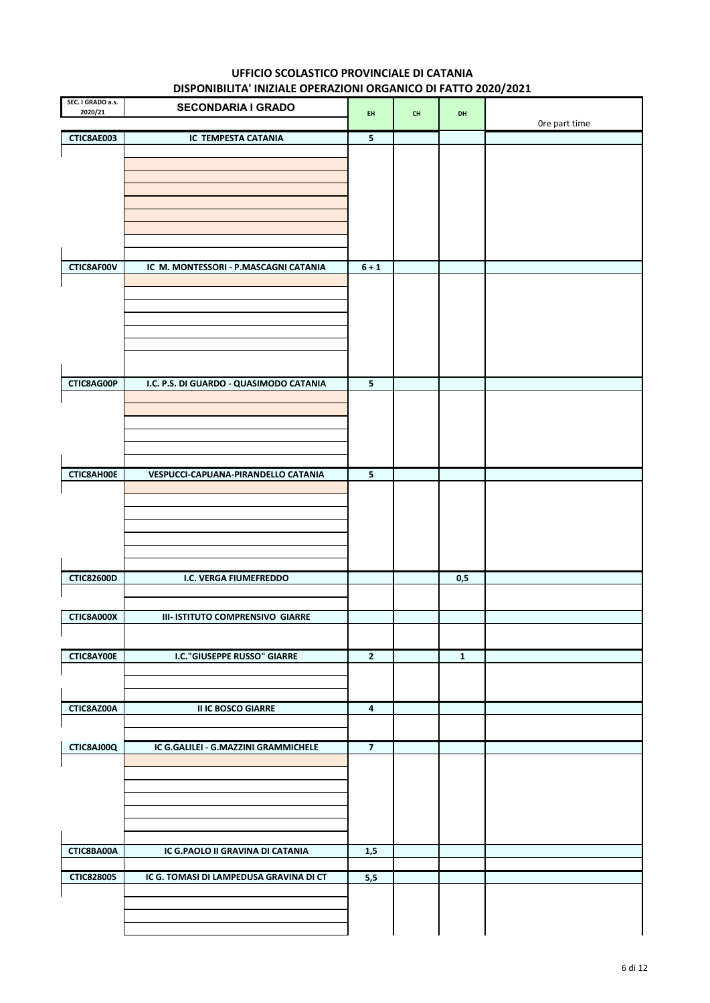| SEC. I GRADO a.s.<br>2020/21 | <b>SECONDARIA I GRADO</b>               | EH                      | CH | DH          |               |
|------------------------------|-----------------------------------------|-------------------------|----|-------------|---------------|
|                              |                                         |                         |    |             | Ore part time |
| CTIC8AE003                   | IC TEMPESTA CATANIA                     | 5                       |    |             |               |
|                              |                                         |                         |    |             |               |
|                              |                                         |                         |    |             |               |
|                              |                                         |                         |    |             |               |
|                              |                                         |                         |    |             |               |
|                              |                                         |                         |    |             |               |
|                              |                                         |                         |    |             |               |
|                              |                                         |                         |    |             |               |
| CTIC8AF00V                   | IC M. MONTESSORI - P.MASCAGNI CATANIA   | $6 + 1$                 |    |             |               |
|                              |                                         |                         |    |             |               |
|                              |                                         |                         |    |             |               |
|                              |                                         |                         |    |             |               |
|                              |                                         |                         |    |             |               |
|                              |                                         |                         |    |             |               |
|                              |                                         |                         |    |             |               |
| CTIC8AG00P                   | I.C. P.S. DI GUARDO - QUASIMODO CATANIA | 5                       |    |             |               |
|                              |                                         |                         |    |             |               |
|                              |                                         |                         |    |             |               |
|                              |                                         |                         |    |             |               |
|                              |                                         |                         |    |             |               |
|                              |                                         |                         |    |             |               |
| CTIC8AH00E                   | VESPUCCI-CAPUANA-PIRANDELLO CATANIA     | 5                       |    |             |               |
|                              |                                         |                         |    |             |               |
|                              |                                         |                         |    |             |               |
|                              |                                         |                         |    |             |               |
|                              |                                         |                         |    |             |               |
|                              |                                         |                         |    |             |               |
|                              |                                         |                         |    |             |               |
| <b>CTIC82600D</b>            | I.C. VERGA FIUMEFREDDO                  |                         |    | 0,5         |               |
|                              |                                         |                         |    |             |               |
| CTIC8A000X                   | III- ISTITUTO COMPRENSIVO GIARRE        |                         |    |             |               |
|                              |                                         |                         |    |             |               |
|                              |                                         |                         |    |             |               |
| CTIC8AY00E                   | <b>I.C. "GIUSEPPE RUSSO" GIARRE</b>     | $\overline{\mathbf{2}}$ |    | $\mathbf 1$ |               |
|                              |                                         |                         |    |             |               |
|                              |                                         |                         |    |             |               |
| CTIC8AZ00A                   | <b>II IC BOSCO GIARRE</b>               | 4                       |    |             |               |
|                              |                                         |                         |    |             |               |
| CTIC8AJ00Q                   | IC G.GALILEI - G.MAZZINI GRAMMICHELE    | $\overline{7}$          |    |             |               |
|                              |                                         |                         |    |             |               |
|                              |                                         |                         |    |             |               |
|                              |                                         |                         |    |             |               |
|                              |                                         |                         |    |             |               |
|                              |                                         |                         |    |             |               |
|                              |                                         |                         |    |             |               |
| CTIC8BA00A                   | IC G.PAOLO II GRAVINA DI CATANIA        | 1,5                     |    |             |               |
|                              |                                         |                         |    |             |               |
| <b>CTIC828005</b>            | IC G. TOMASI DI LAMPEDUSA GRAVINA DI CT | 5,5                     |    |             |               |
|                              |                                         |                         |    |             |               |
|                              |                                         |                         |    |             |               |
|                              |                                         |                         |    |             |               |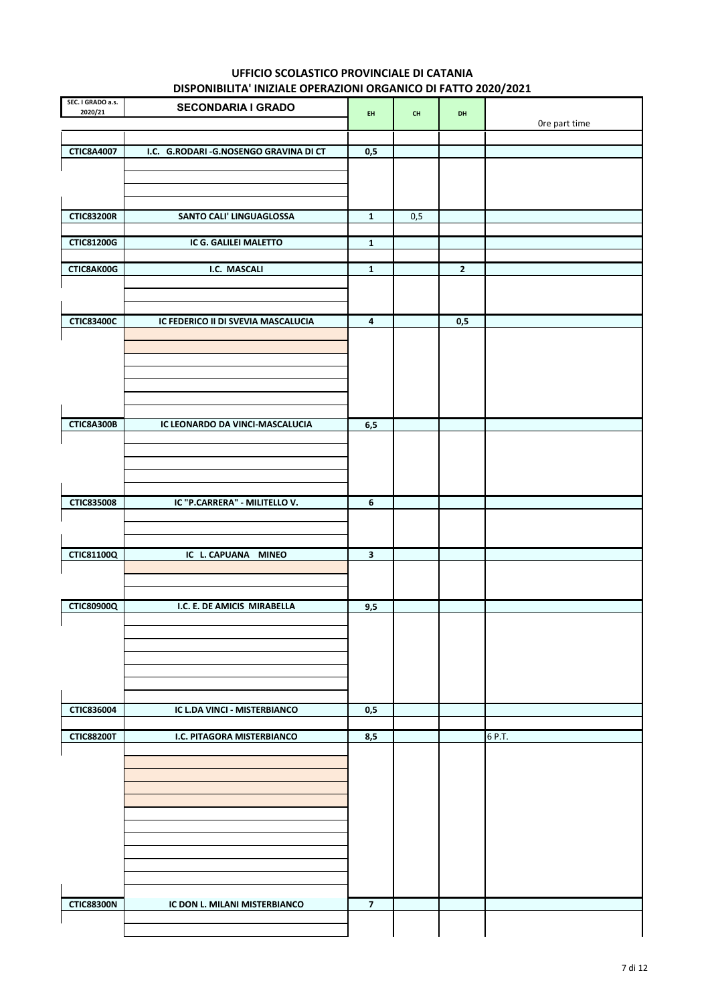| SEC. I GRADO a.s.<br>2020/21 | <b>SECONDARIA I GRADO</b>             | EH.                     | $\mathsf{CH}\xspace$ | DH             |               |
|------------------------------|---------------------------------------|-------------------------|----------------------|----------------|---------------|
|                              |                                       |                         |                      |                | Ore part time |
|                              |                                       |                         |                      |                |               |
| <b>CTIC8A4007</b>            | I.C. G.RODARI-G.NOSENGO GRAVINA DI CT | 0,5                     |                      |                |               |
|                              |                                       |                         |                      |                |               |
|                              |                                       |                         |                      |                |               |
| <b>CTIC83200R</b>            | SANTO CALI' LINGUAGLOSSA              | $\mathbf{1}$            | 0,5                  |                |               |
|                              |                                       |                         |                      |                |               |
| <b>CTIC81200G</b>            | IC G. GALILEI MALETTO                 | $\mathbf{1}$            |                      |                |               |
| CTIC8AK00G                   | I.C. MASCALI                          | $\mathbf{1}$            |                      | $\overline{2}$ |               |
|                              |                                       |                         |                      |                |               |
|                              |                                       |                         |                      |                |               |
| <b>CTIC83400C</b>            | IC FEDERICO II DI SVEVIA MASCALUCIA   | $\overline{\mathbf{4}}$ |                      | 0,5            |               |
|                              |                                       |                         |                      |                |               |
|                              |                                       |                         |                      |                |               |
|                              |                                       |                         |                      |                |               |
|                              |                                       |                         |                      |                |               |
|                              |                                       |                         |                      |                |               |
| CTIC8A300B                   | IC LEONARDO DA VINCI-MASCALUCIA       | 6,5                     |                      |                |               |
|                              |                                       |                         |                      |                |               |
|                              |                                       |                         |                      |                |               |
|                              |                                       |                         |                      |                |               |
| <b>CTIC835008</b>            | IC "P.CARRERA" - MILITELLO V.         | 6                       |                      |                |               |
|                              |                                       |                         |                      |                |               |
|                              |                                       |                         |                      |                |               |
| <b>CTIC81100Q</b>            | IC L. CAPUANA MINEO                   | $\overline{\mathbf{3}}$ |                      |                |               |
|                              |                                       |                         |                      |                |               |
|                              |                                       |                         |                      |                |               |
| <b>CTIC80900Q</b>            | I.C. E. DE AMICIS MIRABELLA           | 9,5                     |                      |                |               |
|                              |                                       |                         |                      |                |               |
|                              |                                       |                         |                      |                |               |
|                              |                                       |                         |                      |                |               |
|                              |                                       |                         |                      |                |               |
|                              |                                       |                         |                      |                |               |
| CTIC836004                   | IC L.DA VINCI - MISTERBIANCO          | 0,5                     |                      |                |               |
| <b>CTIC88200T</b>            | I.C. PITAGORA MISTERBIANCO            | 8,5                     |                      |                | 6 P.T.        |
|                              |                                       |                         |                      |                |               |
|                              |                                       |                         |                      |                |               |
|                              |                                       |                         |                      |                |               |
|                              |                                       |                         |                      |                |               |
|                              |                                       |                         |                      |                |               |
|                              |                                       |                         |                      |                |               |
|                              |                                       |                         |                      |                |               |
|                              |                                       |                         |                      |                |               |
| <b>CTIC88300N</b>            | IC DON L. MILANI MISTERBIANCO         | $\overline{7}$          |                      |                |               |
|                              |                                       |                         |                      |                |               |
|                              |                                       |                         |                      |                |               |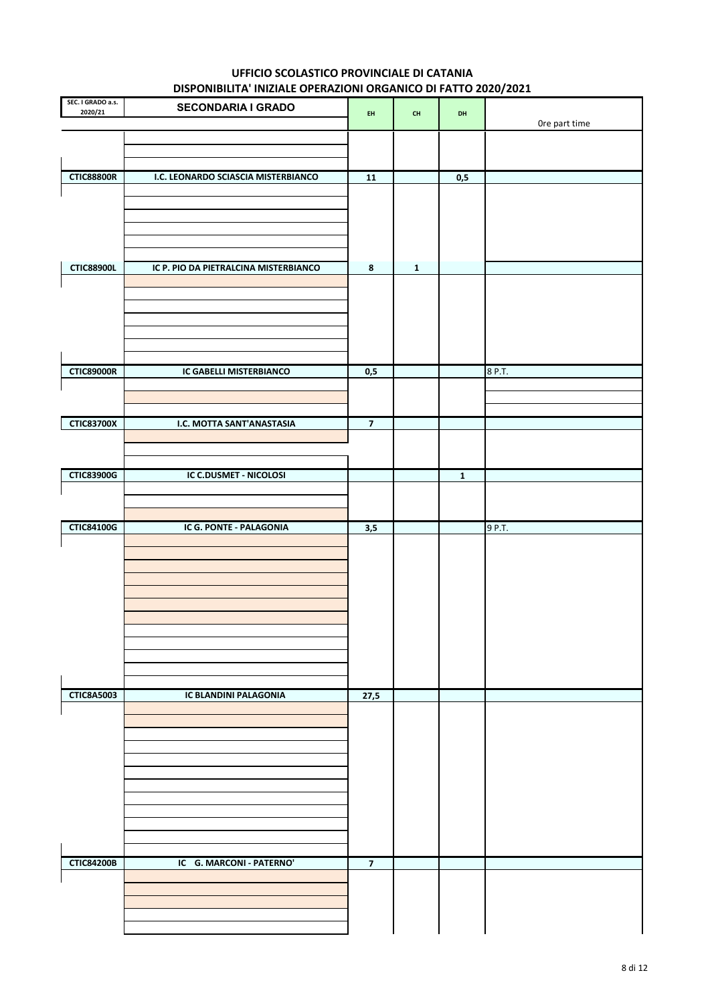| SEC. I GRADO a.s.<br>2020/21 | <b>SECONDARIA I GRADO</b>             | EH                      | $\mathsf{CH}%$ | DH           |               |
|------------------------------|---------------------------------------|-------------------------|----------------|--------------|---------------|
|                              |                                       |                         |                |              | Ore part time |
|                              |                                       |                         |                |              |               |
|                              |                                       |                         |                |              |               |
| <b>CTIC88800R</b>            | I.C. LEONARDO SCIASCIA MISTERBIANCO   | ${\bf 11}$              |                | 0,5          |               |
|                              |                                       |                         |                |              |               |
|                              |                                       |                         |                |              |               |
|                              |                                       |                         |                |              |               |
|                              |                                       |                         |                |              |               |
| <b>CTIC88900L</b>            | IC P. PIO DA PIETRALCINA MISTERBIANCO | 8                       | $\mathbf{1}$   |              |               |
|                              |                                       |                         |                |              |               |
|                              |                                       |                         |                |              |               |
|                              |                                       |                         |                |              |               |
|                              |                                       |                         |                |              |               |
|                              |                                       |                         |                |              |               |
| <b>CTIC89000R</b>            |                                       |                         |                |              | 8 P.T.        |
|                              | IC GABELLI MISTERBIANCO               | 0,5                     |                |              |               |
|                              |                                       |                         |                |              |               |
|                              |                                       |                         |                |              |               |
| <b>CTIC83700X</b>            | I.C. MOTTA SANT'ANASTASIA             | $\overline{\mathbf{z}}$ |                |              |               |
|                              |                                       |                         |                |              |               |
|                              |                                       |                         |                |              |               |
| <b>CTIC83900G</b>            | IC C.DUSMET - NICOLOSI                |                         |                | $\mathbf{1}$ |               |
|                              |                                       |                         |                |              |               |
|                              |                                       |                         |                |              |               |
| <b>CTIC84100G</b>            | IC G. PONTE - PALAGONIA               | 3,5                     |                |              | 9 P.T.        |
|                              |                                       |                         |                |              |               |
|                              |                                       |                         |                |              |               |
|                              |                                       |                         |                |              |               |
|                              |                                       |                         |                |              |               |
|                              |                                       |                         |                |              |               |
|                              |                                       |                         |                |              |               |
|                              |                                       |                         |                |              |               |
|                              |                                       |                         |                |              |               |
|                              |                                       |                         |                |              |               |
| <b>CTIC8A5003</b>            | IC BLANDINI PALAGONIA                 | 27,5                    |                |              |               |
|                              |                                       |                         |                |              |               |
|                              |                                       |                         |                |              |               |
|                              |                                       |                         |                |              |               |
|                              |                                       |                         |                |              |               |
|                              |                                       |                         |                |              |               |
|                              |                                       |                         |                |              |               |
|                              |                                       |                         |                |              |               |
|                              |                                       |                         |                |              |               |
|                              |                                       |                         |                |              |               |
| <b>CTIC84200B</b>            | IC G. MARCONI - PATERNO'              | $\overline{7}$          |                |              |               |
|                              |                                       |                         |                |              |               |
|                              |                                       |                         |                |              |               |
|                              |                                       |                         |                |              |               |
|                              |                                       |                         |                |              |               |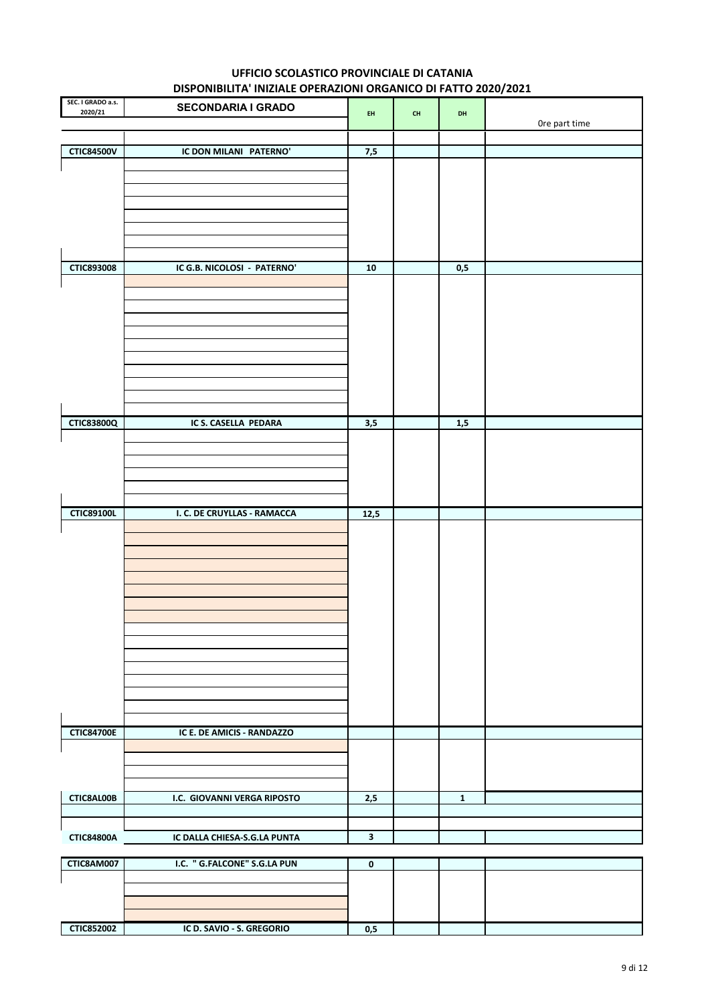|                              | <b>DISTORMATION INTERNET OF ENALIGIN ONOAINCO DI TATTO LOLO LOLL</b> |              |                                          |              |               |
|------------------------------|----------------------------------------------------------------------|--------------|------------------------------------------|--------------|---------------|
| SEC. I GRADO a.s.<br>2020/21 | <b>SECONDARIA I GRADO</b>                                            | EH.          | $\mathsf{CH}% \left( \mathcal{M}\right)$ | DH           |               |
|                              |                                                                      |              |                                          |              | Ore part time |
|                              |                                                                      |              |                                          |              |               |
| <b>CTIC84500V</b>            | IC DON MILANI PATERNO'                                               | 7,5          |                                          |              |               |
|                              |                                                                      |              |                                          |              |               |
|                              |                                                                      |              |                                          |              |               |
|                              |                                                                      |              |                                          |              |               |
|                              |                                                                      |              |                                          |              |               |
|                              |                                                                      |              |                                          |              |               |
|                              |                                                                      |              |                                          |              |               |
|                              |                                                                      |              |                                          |              |               |
|                              |                                                                      |              |                                          |              |               |
| <b>CTIC893008</b>            | IC G.B. NICOLOSI - PATERNO'                                          | 10           |                                          | 0,5          |               |
|                              |                                                                      |              |                                          |              |               |
|                              |                                                                      |              |                                          |              |               |
|                              |                                                                      |              |                                          |              |               |
|                              |                                                                      |              |                                          |              |               |
|                              |                                                                      |              |                                          |              |               |
|                              |                                                                      |              |                                          |              |               |
|                              |                                                                      |              |                                          |              |               |
|                              |                                                                      |              |                                          |              |               |
|                              |                                                                      |              |                                          |              |               |
|                              |                                                                      |              |                                          |              |               |
|                              |                                                                      |              |                                          |              |               |
| <b>CTIC83800Q</b>            | IC S. CASELLA PEDARA                                                 | 3,5          |                                          | 1,5          |               |
|                              |                                                                      |              |                                          |              |               |
|                              |                                                                      |              |                                          |              |               |
|                              |                                                                      |              |                                          |              |               |
|                              |                                                                      |              |                                          |              |               |
|                              |                                                                      |              |                                          |              |               |
|                              |                                                                      |              |                                          |              |               |
| <b>CTIC89100L</b>            | I. C. DE CRUYLLAS - RAMACCA                                          | 12,5         |                                          |              |               |
|                              |                                                                      |              |                                          |              |               |
|                              |                                                                      |              |                                          |              |               |
|                              |                                                                      |              |                                          |              |               |
|                              |                                                                      |              |                                          |              |               |
|                              |                                                                      |              |                                          |              |               |
|                              |                                                                      |              |                                          |              |               |
|                              |                                                                      |              |                                          |              |               |
|                              |                                                                      |              |                                          |              |               |
|                              |                                                                      |              |                                          |              |               |
|                              |                                                                      |              |                                          |              |               |
|                              |                                                                      |              |                                          |              |               |
|                              |                                                                      |              |                                          |              |               |
|                              |                                                                      |              |                                          |              |               |
|                              |                                                                      |              |                                          |              |               |
|                              |                                                                      |              |                                          |              |               |
|                              |                                                                      |              |                                          |              |               |
| <b>CTIC84700E</b>            | IC E. DE AMICIS - RANDAZZO                                           |              |                                          |              |               |
|                              |                                                                      |              |                                          |              |               |
|                              |                                                                      |              |                                          |              |               |
|                              |                                                                      |              |                                          |              |               |
|                              |                                                                      |              |                                          |              |               |
| CTIC8AL00B                   | I.C. GIOVANNI VERGA RIPOSTO                                          | 2,5          |                                          | $\mathbf{1}$ |               |
|                              |                                                                      |              |                                          |              |               |
|                              |                                                                      |              |                                          |              |               |
| <b>CTIC84800A</b>            | IC DALLA CHIESA-S.G.LA PUNTA                                         | $\mathbf{3}$ |                                          |              |               |
|                              |                                                                      |              |                                          |              |               |
| CTIC8AM007                   | I.C. " G.FALCONE" S.G.LA PUN                                         | $\mathbf 0$  |                                          |              |               |
|                              |                                                                      |              |                                          |              |               |
|                              |                                                                      |              |                                          |              |               |
|                              |                                                                      |              |                                          |              |               |
|                              |                                                                      |              |                                          |              |               |

 $0,5$ 

**CTIC852002** 

IC D. SAVIO - S. GREGORIO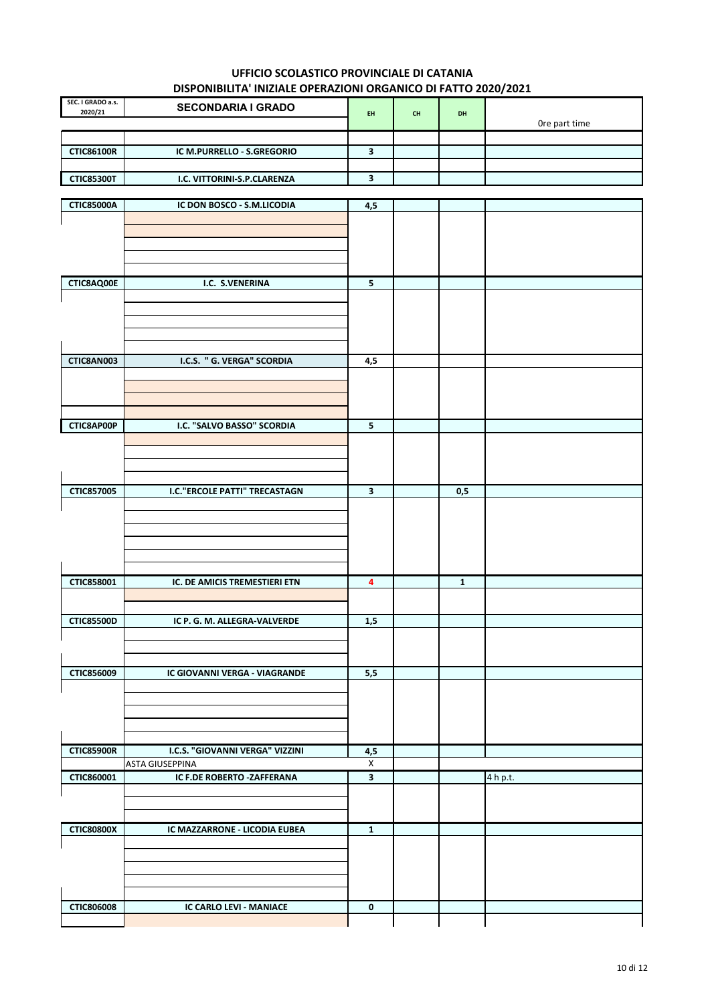| SEC. I GRADO a.s.<br>2020/21 | <b>SECONDARIA I GRADO</b>   | <b>EH</b> | <b>CH</b> | DH |               |
|------------------------------|-----------------------------|-----------|-----------|----|---------------|
|                              |                             |           |           |    | Ore part time |
|                              |                             |           |           |    |               |
| <b>CTIC86100R</b>            | IC M.PURRELLO - S.GREGORIO  |           |           |    |               |
|                              |                             |           |           |    |               |
| <b>CTIC85300T</b>            | I.C. VITTORINI-S.P.CLARENZA |           |           |    |               |

| <b>CTIC85000A</b> | IC DON BOSCO - S.M.LICODIA            | 4,5                     |              |          |  |
|-------------------|---------------------------------------|-------------------------|--------------|----------|--|
|                   |                                       |                         |              |          |  |
|                   |                                       |                         |              |          |  |
|                   |                                       |                         |              |          |  |
|                   |                                       |                         |              |          |  |
|                   |                                       |                         |              |          |  |
| CTIC8AQ00E        | I.C. S.VENERINA                       | $\overline{\mathbf{5}}$ |              |          |  |
|                   |                                       |                         |              |          |  |
|                   |                                       |                         |              |          |  |
|                   |                                       |                         |              |          |  |
|                   |                                       |                         |              |          |  |
| CTIC8AN003        | I.C.S. " G. VERGA" SCORDIA            | 4,5                     |              |          |  |
|                   |                                       |                         |              |          |  |
|                   |                                       |                         |              |          |  |
|                   |                                       |                         |              |          |  |
|                   |                                       |                         |              |          |  |
| CTIC8AP00P        | I.C. "SALVO BASSO" SCORDIA            | $\overline{\mathbf{5}}$ |              |          |  |
|                   |                                       |                         |              |          |  |
|                   |                                       |                         |              |          |  |
|                   |                                       |                         |              |          |  |
|                   |                                       |                         |              |          |  |
| <b>CTIC857005</b> | <b>I.C.</b> "ERCOLE PATTI" TRECASTAGN | $\mathbf{3}$            | 0,5          |          |  |
|                   |                                       |                         |              |          |  |
|                   |                                       |                         |              |          |  |
|                   |                                       |                         |              |          |  |
|                   |                                       |                         |              |          |  |
|                   |                                       |                         |              |          |  |
|                   |                                       |                         |              |          |  |
| CTIC858001        | IC. DE AMICIS TREMESTIERI ETN         | 4                       | $\mathbf{1}$ |          |  |
|                   |                                       |                         |              |          |  |
| <b>CTIC85500D</b> | IC P. G. M. ALLEGRA-VALVERDE          | 1,5                     |              |          |  |
|                   |                                       |                         |              |          |  |
|                   |                                       |                         |              |          |  |
|                   |                                       |                         |              |          |  |
| CTIC856009        | IC GIOVANNI VERGA - VIAGRANDE         | 5,5                     |              |          |  |
|                   |                                       |                         |              |          |  |
|                   |                                       |                         |              |          |  |
|                   |                                       |                         |              |          |  |
|                   |                                       |                         |              |          |  |
|                   |                                       |                         |              |          |  |
| <b>CTIC85900R</b> | I.C.S. "GIOVANNI VERGA" VIZZINI       | 4,5                     |              |          |  |
|                   | <b>ASTA GIUSEPPINA</b>                | $\pmb{\mathsf{X}}$      |              |          |  |
| CTIC860001        | IC F.DE ROBERTO -ZAFFERANA            | $\overline{\mathbf{3}}$ |              | 4 h p.t. |  |
|                   |                                       |                         |              |          |  |
|                   |                                       |                         |              |          |  |
|                   |                                       |                         |              |          |  |
| <b>CTIC80800X</b> | IC MAZZARRONE - LICODIA EUBEA         | $\mathbf 1$             |              |          |  |
|                   |                                       |                         |              |          |  |
|                   |                                       |                         |              |          |  |
|                   |                                       |                         |              |          |  |
|                   |                                       |                         |              |          |  |
| <b>CTIC806008</b> | IC CARLO LEVI - MANIACE               | $\pmb{0}$               |              |          |  |
|                   |                                       |                         |              |          |  |
|                   |                                       |                         |              |          |  |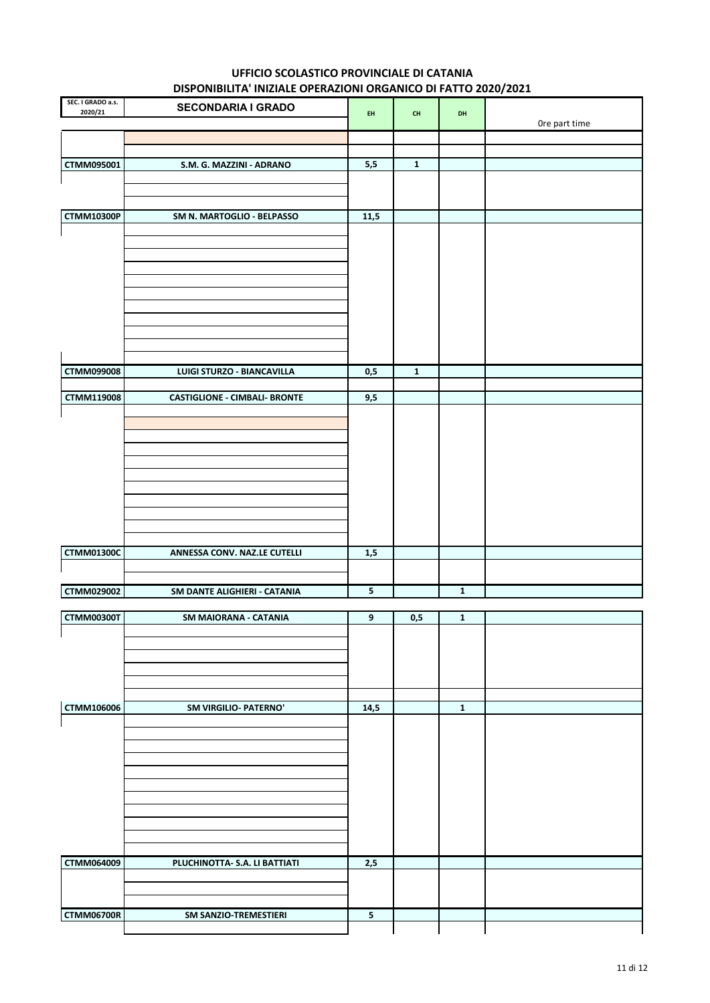| SEC. I GRADO a.s.<br>2020/21 | <b>SECONDARIA I GRADO</b>            | EH    | $\mathsf{CH}%$ | DH             |               |
|------------------------------|--------------------------------------|-------|----------------|----------------|---------------|
|                              |                                      |       |                |                | Ore part time |
|                              |                                      |       |                |                |               |
| CTMM095001                   | S.M. G. MAZZINI - ADRANO             | 5,5   | $\mathbf 1$    |                |               |
|                              |                                      |       |                |                |               |
|                              |                                      |       |                |                |               |
| <b>CTMM10300P</b>            | SM N. MARTOGLIO - BELPASSO           | 11,5  |                |                |               |
|                              |                                      |       |                |                |               |
|                              |                                      |       |                |                |               |
|                              |                                      |       |                |                |               |
|                              |                                      |       |                |                |               |
|                              |                                      |       |                |                |               |
|                              |                                      |       |                |                |               |
|                              |                                      |       |                |                |               |
|                              |                                      |       |                |                |               |
| <b>CTMM099008</b>            | LUIGI STURZO - BIANCAVILLA           | 0,5   | $\mathbf 1$    |                |               |
| CTMM119008                   | <b>CASTIGLIONE - CIMBALI- BRONTE</b> | 9,5   |                |                |               |
|                              |                                      |       |                |                |               |
|                              |                                      |       |                |                |               |
|                              |                                      |       |                |                |               |
|                              |                                      |       |                |                |               |
|                              |                                      |       |                |                |               |
|                              |                                      |       |                |                |               |
|                              |                                      |       |                |                |               |
|                              |                                      |       |                |                |               |
| <b>CTMM01300C</b>            | ANNESSA CONV. NAZ.LE CUTELLI         | $1,5$ |                |                |               |
|                              |                                      |       |                |                |               |
| CTMM029002                   | SM DANTE ALIGHIERI - CATANIA         | 5     |                | $\overline{1}$ |               |
| <b>CTMM00300T</b>            |                                      |       |                | $\mathbf{1}$   |               |
|                              | SM MAIORANA - CATANIA                | 9     | 0,5            |                |               |
| $\mathbf{I}$                 |                                      |       |                |                |               |
|                              |                                      |       |                |                |               |
|                              |                                      |       |                |                |               |
|                              |                                      |       |                |                |               |
| CTMM106006                   | <b>SM VIRGILIO- PATERNO'</b>         | 14,5  |                | $\mathbf{1}$   |               |
|                              |                                      |       |                |                |               |
|                              |                                      |       |                |                |               |
|                              |                                      |       |                |                |               |
|                              |                                      |       |                |                |               |
|                              |                                      |       |                |                |               |
|                              |                                      |       |                |                |               |
|                              |                                      |       |                |                |               |
| <b>CTMM064009</b>            | PLUCHINOTTA- S.A. LI BATTIATI        | 2,5   |                |                |               |
|                              |                                      |       |                |                |               |
|                              |                                      |       |                |                |               |
| <b>CTMM06700R</b>            | SM SANZIO-TREMESTIERI                | 5     |                |                |               |
|                              |                                      |       |                |                |               |